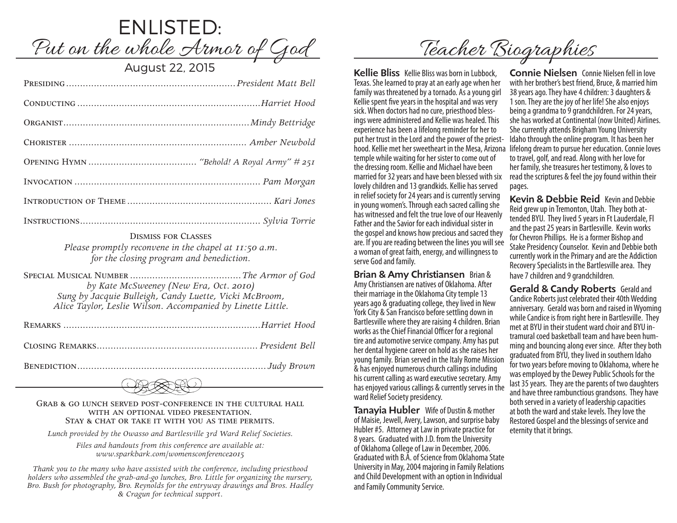

Dismiss for Classes *Please promptly reconvene in the chapel at 11:50 a.m. for the closing program and benediction.* 

Special Musical Number ........................................*The Armor of God by Kate McSweeney (New Era, Oct. 2010) Sung by Jacquie Bulleigh, Candy Luette, Vicki McBroom, Alice Taylor, Leslie Wilson. Accompanied by Linette Little.*

Remarks .......................................................................*Harriet Hood* Closing Remarks.......................................................... *President Bell*

Benediction.................................................................... *Judy Brown*



#### Grab & go lunch served post-conference in the cultural hall with an optional video presentation. Stay & chat or take it with you as time permits.

*Lunch provided by the Owasso and Bartlesville 3rd Ward Relief Societies.*

*Files and handouts from this conference are available at: www.sparkbark.com/womensconference2015*

*Thank you to the many who have assisted with the conference, including priesthood holders who assembled the grab-and-go lunches, Bro. Little for organizing the nursery, Bro. Bush for photography, Bro. Reynolds for the entryway drawings and Bros. Hadley & Cragun for technical support.*

Teacher Biographies

Kellie Bliss Kellie Bliss was born in Lubbock, Texas. She learned to pray at an early age when her family was threatened by a tornado. As a young girl Kellie spent five years in the hospital and was very<br>sick. When doctors had no cure, priesthood blessings were administered and Kellie was healed. This experience has been a lifelong reminder for her to put her trust in the Lord and the power of the priesttemple while waiting for her sister to come out of the dressing room. Kellie and Michael have been married for 32 years and have been blessed with six lovely children and 13 grandkids. Kellie has served in relief society for 24 years and is currently serving in young women's. Through each sacred calling she has witnessed and felt the true love of our Heavenly Father and the Savior for each individual sister in the gospel and knows how precious and sacred they are. If you are reading between the lines you will see a woman of great faith, energy, and willingness to serve God and family.

Brian & Amy Christiansen Brian & Amy Christiansen are natives of Oklahoma. After their marriage in the Oklahoma City temple 13 years ago & graduating college, they lived in New York City & San Francisco before settling down in Bartlesville where they are raising 4 children. Brian works as the Chief Financial Officer for a regional tire and automotive service company. Amy has put her dental hygiene career on hold as she raises her young family. Brian served in the Italy Rome Mission & has enjoyed numerous church callings including his current calling as ward executive secretary. Amy has enjoyed various callings & currently serves in the ward Relief Society presidency.

Tanayia Hubler Wife of Dustin & mother of Maisie, Jewell, Avery, Lawson, and surprise baby Hubler #5. Attorney at Law in private practice for 8 years. Graduated with J.D. from the University of Oklahoma College of Law in December, 2006. Graduated with B.A. of Science from Oklahoma State University in May, 2004 majoring in Family Relations and Child Development with an option in Individual and Family Community Service.

hood. Kellie met her sweetheart in the Mesa, Arizona lifelong dream to pursue her education. Connie loves Connie Nielsen Connie Nielsen fell in love with her brother's best friend, Bruce, & married him 38 years ago. They have 4 children: 3 daughters & 1 son. They are the joy of her life! She also enjoys being a grandma to 9 grandchildren. For 24 years, she has worked at Continental (now United) Airlines. She currently attends Brigham Young University Idaho through the online program. It has been her to travel, golf, and read. Along with her love for her family, she treasures her testimony, & loves to read the scriptures & feel the joy found within their pages.

> Kevin & Debbie Reid Kevin and Debbie Reid grew up in Tremonton, Utah. They both attended BYU. They lived 5 years in Ft Lauderdale, Fl and the past 25 years in Bartlesville. Kevin works for Chevron Phillips. He is a former Bishop and Stake Presidency Counselor. Kevin and Debbie both currently work in the Primary and are the Addiction Recovery Specialists in the Bartlesville area. They have 7 children and 9 grandchildren.

Gerald & Candy Roberts Gerald and Candice Roberts just celebrated their 40th Wedding anniversary. Gerald was born and raised in Wyoming while Candice is from right here in Bartlesville. They met at BYU in their student ward choir and BYU intramural coed basketball team and have been humming and bouncing along ever since. After they both graduated from BYU, they lived in southern Idaho for two years before moving to Oklahoma, where he was employed by the Dewey Public Schools for the last 35 years. They are the parents of two daughters and have three rambunctious grandsons. They have both served in a variety of leadership capacities at both the ward and stake levels. They love the Restored Gospel and the blessings of service and eternity that it brings.